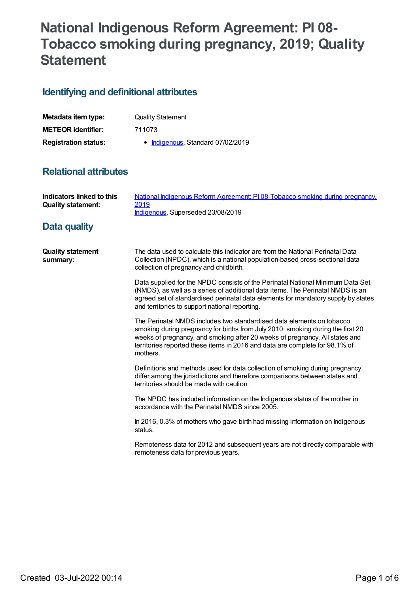# **National Indigenous Reform Agreement: PI 08- Tobacco smoking during pregnancy, 2019; Quality Statement**

## **Identifying and definitional attributes**

| Metadata item type:         | <b>Quality Statement</b>          |
|-----------------------------|-----------------------------------|
| <b>METEOR identifier:</b>   | 711073                            |
| <b>Registration status:</b> | • Indigenous, Standard 07/02/2019 |

## **Relational attributes**

| <b>Indicators linked to this</b><br><b>Quality statement:</b> | National Indigenous Reform Agreement: PI08-Tobacco smoking during pregnancy,<br>2019<br>Indigenous, Superseded 23/08/2019                                                                                                                                                                                                          |
|---------------------------------------------------------------|------------------------------------------------------------------------------------------------------------------------------------------------------------------------------------------------------------------------------------------------------------------------------------------------------------------------------------|
| Data quality                                                  |                                                                                                                                                                                                                                                                                                                                    |
| <b>Quality statement</b><br>summary:                          | The data used to calculate this indicator are from the National Perinatal Data<br>Collection (NPDC), which is a national population-based cross-sectional data<br>collection of pregnancy and childbirth.                                                                                                                          |
|                                                               | Data supplied for the NPDC consists of the Perinatal National Minimum Data Set<br>(NMDS), as well as a series of additional data items. The Perinatal NMDS is an<br>agreed set of standardised perinatal data elements for mandatory supply by states<br>and territories to support national reporting.                            |
|                                                               | The Perinatal NMDS includes two standardised data elements on tobacco<br>smoking during pregnancy for births from July 2010: smoking during the first 20<br>weeks of pregnancy, and smoking after 20 weeks of pregnancy. All states and<br>territories reported these items in 2016 and data are complete for 98.1% of<br>mothers. |
|                                                               | Definitions and methods used for data collection of smoking during pregnancy<br>differ among the jurisdictions and therefore comparisons between states and<br>territories should be made with caution.                                                                                                                            |
|                                                               | The NPDC has included information on the Indigenous status of the mother in<br>accordance with the Perinatal NMDS since 2005.                                                                                                                                                                                                      |
|                                                               | In 2016, 0.3% of mothers who gave birth had missing information on Indigenous<br>status.                                                                                                                                                                                                                                           |
|                                                               | Remoteness data for 2012 and subsequent years are not directly comparable with<br>remoteness data for previous years.                                                                                                                                                                                                              |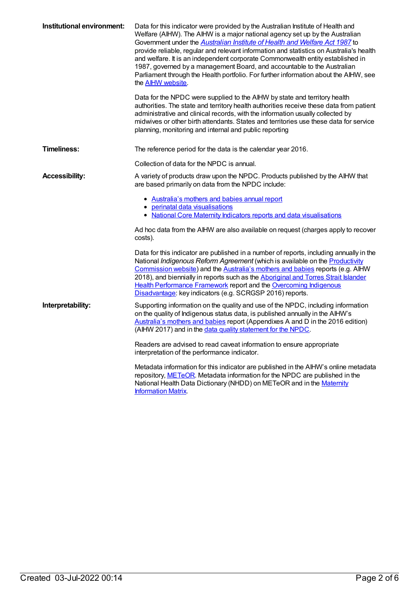| Institutional environment: | Data for this indicator were provided by the Australian Institute of Health and<br>Welfare (AIHW). The AIHW is a major national agency set up by the Australian<br>Government under the <b>Australian Institute of Health and Welfare Act 1987</b> to<br>provide reliable, regular and relevant information and statistics on Australia's health<br>and welfare. It is an independent corporate Commonwealth entity established in<br>1987, governed by a management Board, and accountable to the Australian<br>Parliament through the Health portfolio. For further information about the AIHW, see<br>the <b>AIHW</b> website.<br>Data for the NPDC were supplied to the AIHW by state and territory health<br>authorities. The state and territory health authorities receive these data from patient |
|----------------------------|-----------------------------------------------------------------------------------------------------------------------------------------------------------------------------------------------------------------------------------------------------------------------------------------------------------------------------------------------------------------------------------------------------------------------------------------------------------------------------------------------------------------------------------------------------------------------------------------------------------------------------------------------------------------------------------------------------------------------------------------------------------------------------------------------------------|
|                            | administrative and clinical records, with the information usually collected by<br>midwives or other birth attendants. States and territories use these data for service<br>planning, monitoring and internal and public reporting                                                                                                                                                                                                                                                                                                                                                                                                                                                                                                                                                                         |
| <b>Timeliness:</b>         | The reference period for the data is the calendar year 2016.                                                                                                                                                                                                                                                                                                                                                                                                                                                                                                                                                                                                                                                                                                                                              |
|                            | Collection of data for the NPDC is annual.                                                                                                                                                                                                                                                                                                                                                                                                                                                                                                                                                                                                                                                                                                                                                                |
| <b>Accessibility:</b>      | A variety of products draw upon the NPDC. Products published by the AIHW that<br>are based primarily on data from the NPDC include:                                                                                                                                                                                                                                                                                                                                                                                                                                                                                                                                                                                                                                                                       |
|                            | • Australia's mothers and babies annual report<br>• perinatal data visualisations                                                                                                                                                                                                                                                                                                                                                                                                                                                                                                                                                                                                                                                                                                                         |
|                            | • National Core Maternity Indicators reports and data visualisations                                                                                                                                                                                                                                                                                                                                                                                                                                                                                                                                                                                                                                                                                                                                      |
|                            | Ad hoc data from the AIHW are also available on request (charges apply to recover<br>costs).                                                                                                                                                                                                                                                                                                                                                                                                                                                                                                                                                                                                                                                                                                              |
|                            | Data for this indicator are published in a number of reports, including annually in the<br>National Indigenous Reform Agreement (which is available on the Productivity<br>Commission website) and the Australia's mothers and babies reports (e.g. AIHW<br>2018), and biennially in reports such as the Aboriginal and Torres Strait Islander<br><b>Health Performance Framework report and the Overcoming Indigenous</b><br>Disadvantage: key indicators (e.g. SCRGSP 2016) reports.                                                                                                                                                                                                                                                                                                                    |
| Interpretability:          | Supporting information on the quality and use of the NPDC, including information<br>on the quality of Indigenous status data, is published annually in the AIHW's<br>Australia's mothers and babies report (Appendixes A and D in the 2016 edition)<br>(AIHW 2017) and in the data quality statement for the NPDC.                                                                                                                                                                                                                                                                                                                                                                                                                                                                                        |
|                            | Readers are advised to read caveat information to ensure appropriate<br>interpretation of the performance indicator.                                                                                                                                                                                                                                                                                                                                                                                                                                                                                                                                                                                                                                                                                      |
|                            | Metadata information for this indicator are published in the AIHW's online metadata<br>repository, METeOR. Metadata information for the NPDC are published in the<br>National Health Data Dictionary (NHDD) on METeOR and in the Maternity<br><b>Information Matrix</b>                                                                                                                                                                                                                                                                                                                                                                                                                                                                                                                                   |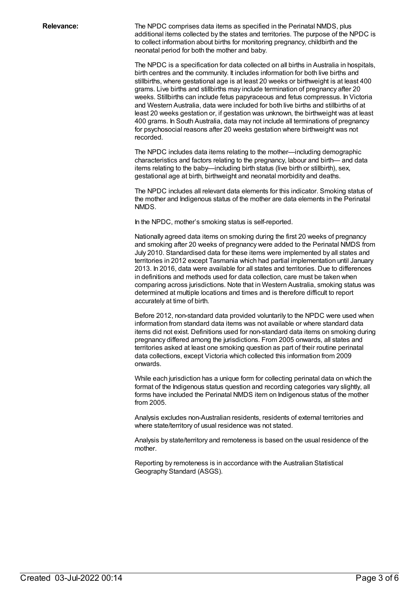**Relevance:** The NPDC comprises data items as specified in the Perinatal NMDS, plus additional items collected by the states and territories. The purpose of the NPDC is to collect information about births for monitoring pregnancy, childbirth and the neonatal period for both the mother and baby.

> The NPDC is a specification for data collected on all births in Australia in hospitals, birth centres and the community. It includes information for both live births and stillbirths, where gestational age is at least 20 weeks or birthweight is at least 400 grams. Live births and stillbirths may include termination of pregnancy after 20 weeks. Stillbirths can include fetus papyraceous and fetus compressus. In Victoria and Western Australia, data were included for both live births and stillbirths of at least 20 weeks gestation or, if gestation was unknown, the birthweight was at least 400 grams. In South Australia, data may not include all terminations of pregnancy for psychosocial reasons after 20 weeks gestation where birthweight was not recorded.

The NPDC includes data items relating to the mother—including demographic characteristics and factors relating to the pregnancy, labour and birth— and data items relating to the baby—including birth status (live birth or stillbirth), sex, gestational age at birth, birthweight and neonatal morbidity and deaths.

The NPDC includes all relevant data elements for this indicator. Smoking status of the mother and Indigenous status of the mother are data elements in the Perinatal NMDS.

In the NPDC, mother's smoking status is self-reported.

Nationally agreed data items on smoking during the first 20 weeks of pregnancy and smoking after 20 weeks of pregnancy were added to the Perinatal NMDS from July 2010. Standardised data for these items were implemented by all states and territories in 2012 except Tasmania which had partial implementation until January 2013. In 2016, data were available for all states and territories. Due to differences in definitions and methods used for data collection, care must be taken when comparing across jurisdictions. Note that in Western Australia, smoking status was determined at multiple locations and times and is therefore difficult to report accurately at time of birth.

Before 2012, non-standard data provided voluntarily to the NPDC were used when information from standard data items was not available or where standard data items did not exist. Definitions used for non-standard data items on smoking during pregnancy differed among the jurisdictions. From 2005 onwards, all states and territories asked at least one smoking question as part of their routine perinatal data collections, except Victoria which collected this information from 2009 onwards.

While each jurisdiction has a unique form for collecting perinatal data on which the format of the Indigenous status question and recording categories vary slightly, all forms have included the Perinatal NMDS item on Indigenous status of the mother from 2005.

Analysis excludes non-Australian residents, residents of external territories and where state/territory of usual residence was not stated.

Analysis by state/territory and remoteness is based on the usual residence of the mother.

Reporting by remoteness is in accordance with the Australian Statistical Geography Standard (ASGS).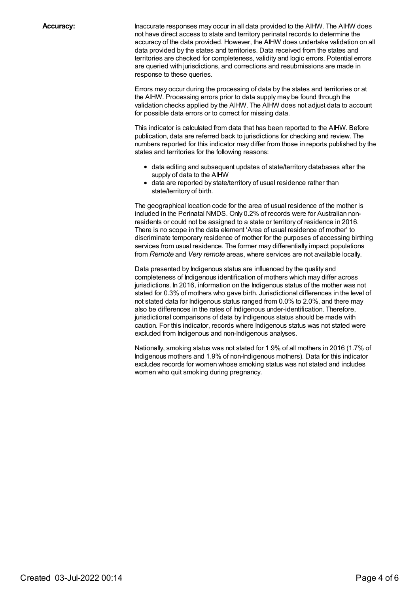**Accuracy:** Inaccurate responses may occur in all data provided to the AIHW. The AIHW does not have direct access to state and territory perinatal records to determine the accuracy of the data provided. However, the AIHW does undertake validation on all data provided by the states and territories. Data received from the states and territories are checked for completeness, validity and logic errors. Potential errors are queried with jurisdictions, and corrections and resubmissions are made in response to these queries.

> Errors may occur during the processing of data by the states and territories or at the AIHW. Processing errors prior to data supply may be found through the validation checks applied by the AIHW. The AIHW does not adjust data to account for possible data errors or to correct for missing data.

This indicator is calculated from data that has been reported to the AIHW. Before publication, data are referred back to jurisdictions for checking and review. The numbers reported for this indicator may differ from those in reports published by the states and territories for the following reasons:

- data editing and subsequent updates of state/territory databases after the supply of data to the AIHW
- data are reported by state/territory of usual residence rather than state/territory of birth.

The geographical location code for the area of usual residence of the mother is included in the Perinatal NMDS. Only 0.2% of records were for Australian nonresidents or could not be assigned to a state or territory of residence in 2016. There is no scope in the data element 'Area of usual residence of mother' to discriminate temporary residence of mother for the purposes of accessing birthing services from usual residence. The former may differentially impact populations from *Remote* and *Very remote* areas, where services are not available locally.

Data presented by Indigenous status are influenced by the quality and completeness of Indigenous identification of mothers which may differ across jurisdictions. In 2016, information on the Indigenous status of the mother was not stated for 0.3% of mothers who gave birth. Jurisdictional differences in the level of not stated data for Indigenous status ranged from 0.0% to 2.0%, and there may also be differences in the rates of Indigenous under-identification. Therefore, jurisdictional comparisons of data by Indigenous status should be made with caution. For this indicator, records where Indigenous status was not stated were excluded from Indigenous and non-Indigenous analyses.

Nationally, smoking status was not stated for 1.9% of all mothers in 2016 (1.7% of Indigenous mothers and 1.9% of non-Indigenous mothers). Data for this indicator excludes records for women whose smoking status was not stated and includes women who quit smoking during pregnancy.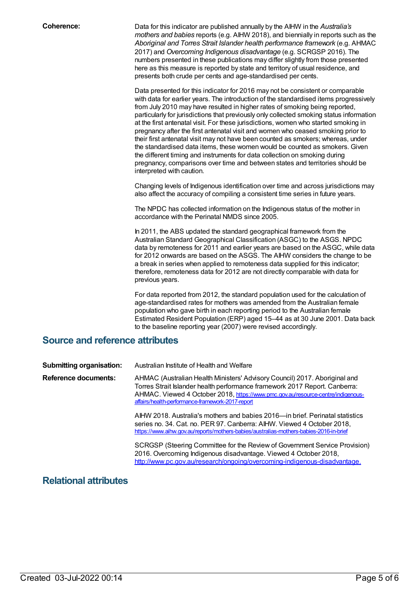**Coherence:** Data for this indicator are published annually by the AIHW in the *Australia's mothers and babies* reports (e.g. AIHW 2018), and biennially in reports such as the *Aboriginal and Torres Strait Islander health performance framework* (e.g. AHMAC 2017) and *Overcoming Indigenous disadvantage* (e.g. SCRGSP 2016). The numbers presented in these publications may differ slightly from those presented here as this measure is reported by state and territory of usual residence, and presents both crude per cents and age-standardised per cents.

> Data presented for this indicator for 2016 may not be consistent or comparable with data for earlier years. The introduction of the standardised items progressively from July 2010 may have resulted in higher rates of smoking being reported, particularly for jurisdictions that previously only collected smoking status information at the first antenatal visit. For these jurisdictions, women who started smoking in pregnancy after the first antenatal visit and women who ceased smoking prior to their first antenatal visit may not have been counted as smokers; whereas, under the standardised data items, these women would be counted as smokers. Given the different timing and instruments for data collection on smoking during pregnancy, comparisons over time and between states and territories should be interpreted with caution.

> Changing levels of Indigenous identification over time and across jurisdictions may also affect the accuracy of compiling a consistent time series in future years.

The NPDC has collected information on the Indigenous status of the mother in accordance with the Perinatal NMDS since 2005.

In 2011, the ABS updated the standard geographical framework from the Australian Standard Geographical Classification (ASGC) to the ASGS. NPDC data by remoteness for 2011 and earlier years are based on the ASGC, while data for 2012 onwards are based on the ASGS. The AIHW considers the change to be a break in series when applied to remoteness data supplied for this indicator; therefore, remoteness data for 2012 are not directly comparable with data for previous years.

For data reported from 2012, the standard population used for the calculation of age-standardised rates for mothers was amended from the Australian female population who gave birth in each reporting period to the Australian female Estimated Resident Population (ERP) aged 15–44 as at 30 June 2001. Data back to the baseline reporting year (2007) were revised accordingly.

### **Source and reference attributes**

| <b>Submitting organisation:</b> | Australian Institute of Health and Welfare                                                                                                                                                                                                                                                       |
|---------------------------------|--------------------------------------------------------------------------------------------------------------------------------------------------------------------------------------------------------------------------------------------------------------------------------------------------|
| Reference documents:            | AHMAC (Australian Health Ministers' Advisory Council) 2017. Aboriginal and<br>Torres Strait Islander health performance framework 2017 Report. Canberra:<br>AHMAC. Viewed 4 October 2018, https://www.pmc.gov.au/resource-centre/indigenous-<br>affairs/health-performance-framework-2017-report |
|                                 | AIHW 2018. Australia's mothers and babies 2016—in brief. Perinatal statistics<br>series no. 34. Cat. no. PER 97. Canberra: AIHW. Viewed 4 October 2018,<br>https://www.aihw.gov.au/reports/mothers-babies/australias-mothers-babies-2016-in-brief                                                |
|                                 | SCRGSP (Steering Committee for the Review of Government Service Provision)<br>2016. Overcoming Indigenous disadvantage. Viewed 4 October 2018,<br>http://www.pc.gov.au/research/ongoing/overcoming-indigenous-disadvantage.                                                                      |

### **Relational attributes**